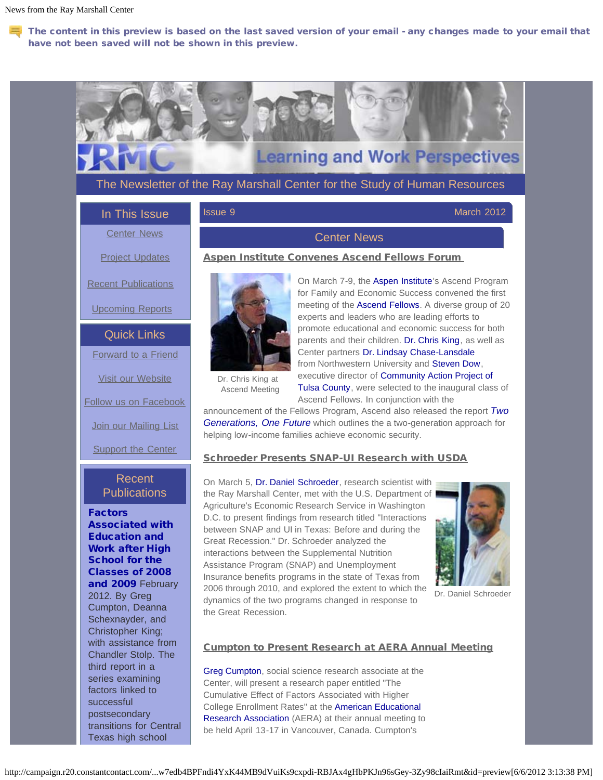$\blacksquare$  The content in this preview is based on the last saved version of your email - any changes made to your email that have not been saved will not be shown in this preview.

# **Learning and Work Perspectives** The Newsletter of the Ray Marshall Center for the Study of Human Resources **Issue 9** March 2012 In This Issue [Center News](#page-0-0) Center News [Project Updates](#page-2-0) Aspen Institute Convenes Ascend Fellows Forum On March 7-9, the [Aspen Institute](http://r20.rs6.net/tn.jsp?e=001oM1SamYe2ZVQrw3_mALXDSXEfY5qvrwWv4pvSK-FWKSYwhDlyeDKPSnl4zEv1uLOpuyObyKHGY5sWvPH4tI3G2nsrfAABRvWwCzt6DREitVSTFImL2V5Ew==)'s Ascend Program [Recent Publications](#page-0-1) for Family and Economic Success convened the first meeting of the [Ascend Fellows.](http://r20.rs6.net/tn.jsp?e=001oM1SamYe2ZUUKnsaOKUpDlZhJgCMRvnjsTuUM9S8KqvJrH_eSuzFWXQ1mSFuFlPjf0UTpPZa42djWQ-U1I4Wm61OJzKbKN-XU35Gq6x0Ho1hmQL3SFlqRjs02md3qyXNuw1His_xdv1pfQI6kKRSMA==) A diverse group of 20 [Upcoming Reports](#page-3-0) experts and leaders who are leading efforts to promote educational and economic success for both Quick Links parents and their children. [Dr. Chris King,](http://r20.rs6.net/tn.jsp?e=001oM1SamYe2ZWiCtHvgqg7hAaJ5-bcUCWhLwIMaam-Vi59qd_Buc0b-7_v2UeucmRpFrd8G21sUlrMm6qEd-eDCJiSE6uB4jw9SYbPTHJm_bYG4GNyBq2V-DGYufXV-DbgiHa_r0O-qrSEsD98Q3IQXGQ-WNTcvr_MzFhgtC2eAMmYyVZx7xs5zfNhR7VG_yhUDhmxCT4mvrqZyWAjBs_8o0diY5bNBjBW-1r1pLu3X-G2Rxb80h8ZuVDq_KLCrCMqbqGrQ8DERnw=) as well as Center partners [Dr. Lindsay Chase-Lansdale](http://r20.rs6.net/tn.jsp?e=001oM1SamYe2ZUxVo-IxJ14ejChnSJ-DnUBjalR-9Pp9sgf2NElbWJJi4i-uwbMVyOYuBjxJXKJXEcDtNHtdvZtchHmwqOn_wdhB6XvKQ5nAnJT65med64Wk3HeqdQedlElHu6MRD0ZCXx8xw9BA_WcKJdJXbxvFdRoMNNsOugp6XhtKOjsl4B_Dhb3crdN4QZBXOezimHpcFw=) [Forward to a Friend](http://ui.constantcontact.com/sa/fwtf.jsp?m=1103455413398&a=1109242645352&ea=rmcinfo%40raymarshallcenter.org) from Northwestern University and [Steven Dow,](http://r20.rs6.net/tn.jsp?e=001oM1SamYe2ZXm8W0PigTiUPx8J-iazwgB7cygqHKCiCmqD40k7yQIxOMsGo_xV3pFHeUmFO2w16NHm-O9X2w6u_21zDYSjuEHoi3HeBeHnKKPQg_cQplch135ggA54n11_m1O_Zcey_M=) executive director of [Community Action Project of](http://r20.rs6.net/tn.jsp?e=001oM1SamYe2ZULL6JNfgm70lQOJTmHFtySEs-ohxs6-ut566DqNbPq5dtbsclGs_vWSVa7J3nhruUu9T6605pRLAGa1N125PkIJTTddSL9l9g=) [Visit our Website](http://r20.rs6.net/tn.jsp?e=001oM1SamYe2ZWQA2gXIUaY0k-W7HmvptwPNApjm3v-NUP6fX8-RNtrk_IGjbm8g_2gFUb9d4BWnWB2flzoFV_jQrfzKesJwHIaOu3cK74Ynb3FpaOn10uJjg==) Dr. Chris King at Ascend Meeting Ascend Fellows. In conjunction with the [Follow us on Facebook](http://r20.rs6.net/tn.jsp?e=001oM1SamYe2ZWxS7sP9RVuLXrNS4dTfD4c6l6z7tKJ1zfKfrTPoutnOTZYRGDAs2UMSeaYr_DSgOv0iPmnpw_DyM4g7hYll-HFm-_NrSgT-C-RBZd04YN31z_WGZbObEVGADRskWnJFjtGw1-bCAm8X1FoZa0AOTjPiyz4jfOEJ39zy-jrykf8wFOWylH4h-1-4zqULPToCcFn9q5Sw34kAsFaDPgO_WPHCoXF-nkFfCSdYN1-73-oiwD_YVCIG1t6EHqWmofHiLx3YfpOg7DGxg==) [Join our Mailing List](http://visitor.constantcontact.com/manage/optin?v=001M-CjbycCeq717-mIIDyO1_tFREeTEVeh) helping low-income families achieve economic security. **[Support the Center](http://r20.rs6.net/tn.jsp?e=001oM1SamYe2ZUkyNAo23d1-F0_MYxEyNNvEG7NO3za-xImPmxUvW5grQxPzHHVt_ARSeILNbyOVywgDUzy23SOaZbPTsE0p65SYHyfDm1nHqQsgogXvazf5x4ek75yC10ux6iD5k9Wk8K69WXfdJLn1oJtjfPnS3JCAvcH-54u__PyzUW_nAwlcT-Lixoz9KxKNevnC-ugwa-IJfsqVUl0_ydWUzI_a5rRW7Ge-uXIOvl4u8M8jHWPpQ==)** Schroeder Presents SNAP-UI Research with USDA

the Ray Marshall Center, met with the U.S. Department of Agriculture's Economic Research Service in Washington D.C. to present findings from research titled "Interactions between SNAP and UI in Texas: Before and during the Great Recession." Dr. Schroeder analyzed the interactions between the Supplemental Nutrition Assistance Program (SNAP) and Unemployment Insurance benefits programs in the state of Texas from 2006 through 2010, and explored the extent to which the dynamics of the two programs changed in response to



Dr. Daniel Schroeder

# Recent **Publications**

<span id="page-0-1"></span>[Factors](http://r20.rs6.net/tn.jsp?e=001oM1SamYe2ZXEbTXz3YqJUmQAcMPWYVlSPZnU080AeyRBcNOPHoMOxe4MKCtkgynlI3OoSjdN6yDmPyB6IgxItRvme_x2-fcY4tiSaGPaOHrtyfyRHdUdX2E5Eu-e8RlcHJRxZAUBy2dvfoweXwOIaUYQonS9YVP5w9FkhE5kzQ_Jk4Vnmt-HcWMtkf0q0eJJP2o7pfPTBcm-0RW_dO43pQ==) [Associated with](http://r20.rs6.net/tn.jsp?e=001oM1SamYe2ZXEbTXz3YqJUmQAcMPWYVlSPZnU080AeyRBcNOPHoMOxe4MKCtkgynlI3OoSjdN6yDmPyB6IgxItRvme_x2-fcY4tiSaGPaOHrtyfyRHdUdX2E5Eu-e8RlcHJRxZAUBy2dvfoweXwOIaUYQonS9YVP5w9FkhE5kzQ_Jk4Vnmt-HcWMtkf0q0eJJP2o7pfPTBcm-0RW_dO43pQ==) [Education and](http://r20.rs6.net/tn.jsp?e=001oM1SamYe2ZXEbTXz3YqJUmQAcMPWYVlSPZnU080AeyRBcNOPHoMOxe4MKCtkgynlI3OoSjdN6yDmPyB6IgxItRvme_x2-fcY4tiSaGPaOHrtyfyRHdUdX2E5Eu-e8RlcHJRxZAUBy2dvfoweXwOIaUYQonS9YVP5w9FkhE5kzQ_Jk4Vnmt-HcWMtkf0q0eJJP2o7pfPTBcm-0RW_dO43pQ==) [Work after High](http://r20.rs6.net/tn.jsp?e=001oM1SamYe2ZXEbTXz3YqJUmQAcMPWYVlSPZnU080AeyRBcNOPHoMOxe4MKCtkgynlI3OoSjdN6yDmPyB6IgxItRvme_x2-fcY4tiSaGPaOHrtyfyRHdUdX2E5Eu-e8RlcHJRxZAUBy2dvfoweXwOIaUYQonS9YVP5w9FkhE5kzQ_Jk4Vnmt-HcWMtkf0q0eJJP2o7pfPTBcm-0RW_dO43pQ==) [School for the](http://r20.rs6.net/tn.jsp?e=001oM1SamYe2ZXEbTXz3YqJUmQAcMPWYVlSPZnU080AeyRBcNOPHoMOxe4MKCtkgynlI3OoSjdN6yDmPyB6IgxItRvme_x2-fcY4tiSaGPaOHrtyfyRHdUdX2E5Eu-e8RlcHJRxZAUBy2dvfoweXwOIaUYQonS9YVP5w9FkhE5kzQ_Jk4Vnmt-HcWMtkf0q0eJJP2o7pfPTBcm-0RW_dO43pQ==) [Classes of 2008](http://r20.rs6.net/tn.jsp?e=001oM1SamYe2ZXEbTXz3YqJUmQAcMPWYVlSPZnU080AeyRBcNOPHoMOxe4MKCtkgynlI3OoSjdN6yDmPyB6IgxItRvme_x2-fcY4tiSaGPaOHrtyfyRHdUdX2E5Eu-e8RlcHJRxZAUBy2dvfoweXwOIaUYQonS9YVP5w9FkhE5kzQ_Jk4Vnmt-HcWMtkf0q0eJJP2o7pfPTBcm-0RW_dO43pQ==) [and 2009](http://r20.rs6.net/tn.jsp?e=001oM1SamYe2ZXEbTXz3YqJUmQAcMPWYVlSPZnU080AeyRBcNOPHoMOxe4MKCtkgynlI3OoSjdN6yDmPyB6IgxItRvme_x2-fcY4tiSaGPaOHrtyfyRHdUdX2E5Eu-e8RlcHJRxZAUBy2dvfoweXwOIaUYQonS9YVP5w9FkhE5kzQ_Jk4Vnmt-HcWMtkf0q0eJJP2o7pfPTBcm-0RW_dO43pQ==) February 2012. By Greg Cumpton, Deanna Schexnayder, and Christopher King; with assistance from Chandler Stolp. The third report in a series examining factors linked to successful postsecondary transitions for Central Texas high school

#### Cumpton to Present Research at AERA Annual Meeting

[Greg Cumpton,](http://r20.rs6.net/tn.jsp?e=001oM1SamYe2ZXbL4qUDwzJzBwh1MHbO6vF5GC5GNe5gBiAPrXOTZ3DLvArxS6uHARaxVSukAn979aPSrk9wghBi4Ci-rIKTmr4Ecknsyd2vpDLy-GtIVq_oYng_ZQ0_cUQJ9J9WIyr0qt6yXua1ijXJGHX-kRgkHDPnm7XvTmOHwhiQ0bgDmRkZoEjOJ3HfeZf0kNHxOb9CiDIzLpgOeXyvlRMhmS1_VEKS2zKCC2G6Sc3LRa364J-lWb38Z0oPp_C77rOm3B8AvE=) social science research associate at the Center, will present a research paper entitled "The Cumulative Effect of Factors Associated with Higher College Enrollment Rates" at the [American Educational](http://r20.rs6.net/tn.jsp?e=001oM1SamYe2ZV109zepE4z1iP2X7nJ1L76ijqgknNvCxHQYOKg-OSLBO9kf1JjUWPNCU_kwAKXYP5-Vg2pZ2qNnfDCGM-p7jnM_GAA4coMpLB3t2-Awv-uff9CXmPBFoTafjlghfBqBKiYjRSEc7_-3jWl_PdrC8eycYhxHfNlDAZF_gqDOJJh1AaPy4J7yJCdeVXwmW3AIqVU67Qp6UDDYw==) [Research Association](http://r20.rs6.net/tn.jsp?e=001oM1SamYe2ZV109zepE4z1iP2X7nJ1L76ijqgknNvCxHQYOKg-OSLBO9kf1JjUWPNCU_kwAKXYP5-Vg2pZ2qNnfDCGM-p7jnM_GAA4coMpLB3t2-Awv-uff9CXmPBFoTafjlghfBqBKiYjRSEc7_-3jWl_PdrC8eycYhxHfNlDAZF_gqDOJJh1AaPy4J7yJCdeVXwmW3AIqVU67Qp6UDDYw==) (AERA) at their annual meeting to be held April 13-17 in Vancouver, Canada. Cumpton's

# <span id="page-0-0"></span>[Tulsa County,](http://r20.rs6.net/tn.jsp?e=001oM1SamYe2ZULL6JNfgm70lQOJTmHFtySEs-ohxs6-ut566DqNbPq5dtbsclGs_vWSVa7J3nhruUu9T6605pRLAGa1N125PkIJTTddSL9l9g=) were selected to the inaugural class of announcement of the Fellows Program, Ascend also released the report *[Two](http://r20.rs6.net/tn.jsp?e=001oM1SamYe2ZW4qmLG371820I_8Ra_-tNNXw7JkwtyBw-gxlzUSLOYqEePU2jSvXCtZAiAYgWr_TI1PlRSCzUNPL7ytbrUBGVwNJBjPp-gQP-A04E8yvN1m6qeMtq0X4Yv-ICtnZO8yMNzWuaKq13coShCDbpx_ULMvYQOK9Z3mvpPUYiaGkDi1_Ud1L0se9APyKxZucZkUM6QGX464qEtZKfJcIDOS-XZ) [Generations, One Future](http://r20.rs6.net/tn.jsp?e=001oM1SamYe2ZW4qmLG371820I_8Ra_-tNNXw7JkwtyBw-gxlzUSLOYqEePU2jSvXCtZAiAYgWr_TI1PlRSCzUNPL7ytbrUBGVwNJBjPp-gQP-A04E8yvN1m6qeMtq0X4Yv-ICtnZO8yMNzWuaKq13coShCDbpx_ULMvYQOK9Z3mvpPUYiaGkDi1_Ud1L0se9APyKxZucZkUM6QGX464qEtZKfJcIDOS-XZ)* which outlines the a two-generation approach for

On March 5, [Dr. Daniel Schroeder,](http://r20.rs6.net/tn.jsp?e=001oM1SamYe2ZVzqcFAQpddzi83x7WIwENT-q_n6B97XjBxGBqwSW1u-ecnT5IJwwsmoIZ2219f3gKNHH4vLT4rsS3dG23qTqXR5hkKOnGwLFgnx3-jztELGr2CDXyOAwMneeCzWZKppqfA6EhIx4MPh4cN3ktNfhFEaJA_mx6qopUe19PLzTZheyzGCFUbBh_U4wq3IbgEx5ZNh_cjBRmm9-r4Bl52086JPtCgdjDjm-Th_SSKR3Vm3XeoZpY4zBc1ljLJRAjkL0k=) research scientist with the Great Recession.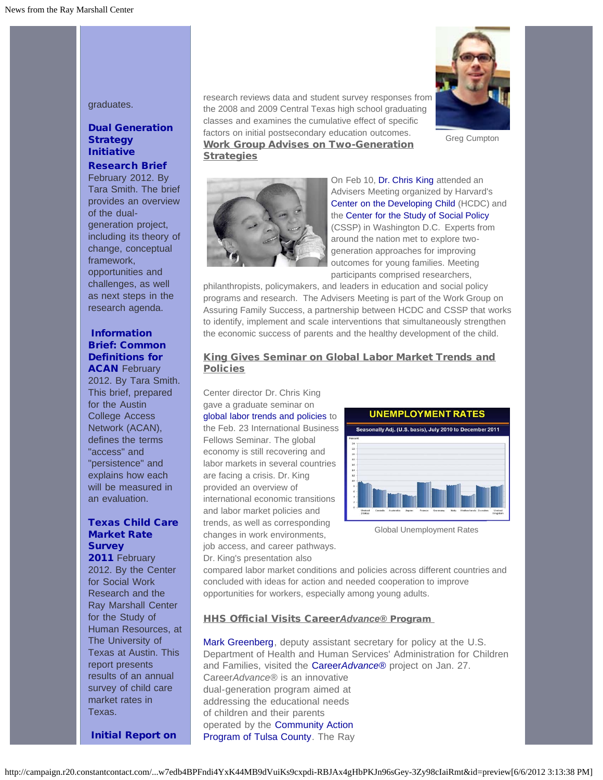graduates.

# [Dual Generation](http://r20.rs6.net/tn.jsp?e=001oM1SamYe2ZX5Iu7LI__Qy5GyU6OvLJEgL44Ccjsv8Qn2ec46XH43A1GsSN-TKStsRe8EhB0T9TITQ8YqbkxO-1MzN1Libnk7HgDz626-IA7Y9mJ80funtWu_0imeBd5oHvD_xMh5pjgkV6iVGT6WaO50_6McjlfpgccaY-ocOcKa-XfDHARXavkzy0tiUau8i_zB-1BmeG80FP5L1XikepZfuwm8c4dMdZb6r1aYEz4D0c6--V2Z3SzXdtBkOYnX) **[Strategy](http://r20.rs6.net/tn.jsp?e=001oM1SamYe2ZX5Iu7LI__Qy5GyU6OvLJEgL44Ccjsv8Qn2ec46XH43A1GsSN-TKStsRe8EhB0T9TITQ8YqbkxO-1MzN1Libnk7HgDz626-IA7Y9mJ80funtWu_0imeBd5oHvD_xMh5pjgkV6iVGT6WaO50_6McjlfpgccaY-ocOcKa-XfDHARXavkzy0tiUau8i_zB-1BmeG80FP5L1XikepZfuwm8c4dMdZb6r1aYEz4D0c6--V2Z3SzXdtBkOYnX)** [Initiative](http://r20.rs6.net/tn.jsp?e=001oM1SamYe2ZX5Iu7LI__Qy5GyU6OvLJEgL44Ccjsv8Qn2ec46XH43A1GsSN-TKStsRe8EhB0T9TITQ8YqbkxO-1MzN1Libnk7HgDz626-IA7Y9mJ80funtWu_0imeBd5oHvD_xMh5pjgkV6iVGT6WaO50_6McjlfpgccaY-ocOcKa-XfDHARXavkzy0tiUau8i_zB-1BmeG80FP5L1XikepZfuwm8c4dMdZb6r1aYEz4D0c6--V2Z3SzXdtBkOYnX)

#### [Research Brief](http://r20.rs6.net/tn.jsp?e=001oM1SamYe2ZX5Iu7LI__Qy5GyU6OvLJEgL44Ccjsv8Qn2ec46XH43A1GsSN-TKStsRe8EhB0T9TITQ8YqbkxO-1MzN1Libnk7HgDz626-IA7Y9mJ80funtWu_0imeBd5oHvD_xMh5pjgkV6iVGT6WaO50_6McjlfpgccaY-ocOcKa-XfDHARXavkzy0tiUau8i_zB-1BmeG80FP5L1XikepZfuwm8c4dMdZb6r1aYEz4D0c6--V2Z3SzXdtBkOYnX)

February 2012. By Tara Smith. The brief provides an overview of the dualgeneration project, including its theory of change, conceptual framework, opportunities and challenges, as well as next steps in the research agenda.

#### [Information](http://r20.rs6.net/tn.jsp?e=001oM1SamYe2ZXallaxLGvnGgySFH0O3hhrhRF2GFQbvIHukR2p9QzsckXTwbajNc3wPjIBwbhzMhvuOsFr6ZXyiopUqZ8iwhrI1-0ZqXjPh-U3ZCx56GzBWL55I0KZHCanUfgq_UWcC6rZ2C3wEjva_S1MsEU-Q6k2do52so2gIofMdGNFViHy_pAq94KJaoUgwBaB0uibusotKFUd8yNbWQ==) [Brief: Common](http://r20.rs6.net/tn.jsp?e=001oM1SamYe2ZXallaxLGvnGgySFH0O3hhrhRF2GFQbvIHukR2p9QzsckXTwbajNc3wPjIBwbhzMhvuOsFr6ZXyiopUqZ8iwhrI1-0ZqXjPh-U3ZCx56GzBWL55I0KZHCanUfgq_UWcC6rZ2C3wEjva_S1MsEU-Q6k2do52so2gIofMdGNFViHy_pAq94KJaoUgwBaB0uibusotKFUd8yNbWQ==) [Definitions for](http://r20.rs6.net/tn.jsp?e=001oM1SamYe2ZXallaxLGvnGgySFH0O3hhrhRF2GFQbvIHukR2p9QzsckXTwbajNc3wPjIBwbhzMhvuOsFr6ZXyiopUqZ8iwhrI1-0ZqXjPh-U3ZCx56GzBWL55I0KZHCanUfgq_UWcC6rZ2C3wEjva_S1MsEU-Q6k2do52so2gIofMdGNFViHy_pAq94KJaoUgwBaB0uibusotKFUd8yNbWQ==) **[ACAN](http://r20.rs6.net/tn.jsp?e=001oM1SamYe2ZXallaxLGvnGgySFH0O3hhrhRF2GFQbvIHukR2p9QzsckXTwbajNc3wPjIBwbhzMhvuOsFr6ZXyiopUqZ8iwhrI1-0ZqXjPh-U3ZCx56GzBWL55I0KZHCanUfgq_UWcC6rZ2C3wEjva_S1MsEU-Q6k2do52so2gIofMdGNFViHy_pAq94KJaoUgwBaB0uibusotKFUd8yNbWQ==) February**

2012. By Tara Smith. This brief, prepared for the Austin College Access Network (ACAN), defines the terms "access" and "persistence" and explains how each will be measured in an evaluation.

# [Texas Child Care](http://r20.rs6.net/tn.jsp?e=001oM1SamYe2ZW2wVb_s137bmhqLBJReHxmnzCwj_gJok8fYsqmQ-PxMfRKZ0ot4xSMfyqzQveBao_GUVAaZAwlzSkRshvA700uNnTe54w0ZSyuQ8guJr9o2vfHRLzZngL-L67BYqpZVmurq0QJz8wAMMXEz_L-NzrYy9HFR90TMOK7NIK6Il9wOx7XA_XNOSjLiPiMVf3owVLPOLzIkK1zmADI8RHWj59PMyKPZDvhYmjHNrBsXJan4Q==) [Market Rate](http://r20.rs6.net/tn.jsp?e=001oM1SamYe2ZW2wVb_s137bmhqLBJReHxmnzCwj_gJok8fYsqmQ-PxMfRKZ0ot4xSMfyqzQveBao_GUVAaZAwlzSkRshvA700uNnTe54w0ZSyuQ8guJr9o2vfHRLzZngL-L67BYqpZVmurq0QJz8wAMMXEz_L-NzrYy9HFR90TMOK7NIK6Il9wOx7XA_XNOSjLiPiMVf3owVLPOLzIkK1zmADI8RHWj59PMyKPZDvhYmjHNrBsXJan4Q==) **[Survey](http://r20.rs6.net/tn.jsp?e=001oM1SamYe2ZW2wVb_s137bmhqLBJReHxmnzCwj_gJok8fYsqmQ-PxMfRKZ0ot4xSMfyqzQveBao_GUVAaZAwlzSkRshvA700uNnTe54w0ZSyuQ8guJr9o2vfHRLzZngL-L67BYqpZVmurq0QJz8wAMMXEz_L-NzrYy9HFR90TMOK7NIK6Il9wOx7XA_XNOSjLiPiMVf3owVLPOLzIkK1zmADI8RHWj59PMyKPZDvhYmjHNrBsXJan4Q==)**

[2011](http://r20.rs6.net/tn.jsp?e=001oM1SamYe2ZW2wVb_s137bmhqLBJReHxmnzCwj_gJok8fYsqmQ-PxMfRKZ0ot4xSMfyqzQveBao_GUVAaZAwlzSkRshvA700uNnTe54w0ZSyuQ8guJr9o2vfHRLzZngL-L67BYqpZVmurq0QJz8wAMMXEz_L-NzrYy9HFR90TMOK7NIK6Il9wOx7XA_XNOSjLiPiMVf3owVLPOLzIkK1zmADI8RHWj59PMyKPZDvhYmjHNrBsXJan4Q==) February 2012. By the Center for Social Work Research and the Ray Marshall Center for the Study of Human Resources, at The University of Texas at Austin. This report presents results of an annual survey of child care market rates in Texas.

research reviews data and student survey responses from the 2008 and 2009 Central Texas high school graduating classes and examines the cumulative effect of specific factors on initial postsecondary education outcomes. Work Group Advises on Two-Generation **Strategies** 



Greg Cumpton



On Feb 10, [Dr. Chris King](http://r20.rs6.net/tn.jsp?e=001oM1SamYe2ZWiCtHvgqg7hAaJ5-bcUCWhLwIMaam-Vi59qd_Buc0b-7_v2UeucmRpFrd8G21sUlrMm6qEd-eDCJiSE6uB4jw9SYbPTHJm_bYG4GNyBq2V-DGYufXV-DbgiHa_r0O-qrSEsD98Q3IQXGQ-WNTcvr_MzFhgtC2eAMmYyVZx7xs5zfNhR7VG_yhUDhmxCT4mvrqZyWAjBs_8o0diY5bNBjBW-1r1pLu3X-G2Rxb80h8ZuVDq_KLCrCMqbqGrQ8DERnw=) attended an Advisers Meeting organized by Harvard's [Center on the Developing Child](http://r20.rs6.net/tn.jsp?e=001oM1SamYe2ZV58kBKVefaC1o5jSjNowpdlHNiauFik-zuTZW3PB_DOXFdMzDrDMUmf2ynDyQ3lMsiJUWpjHw_R1ClVXTz_aA53THU2NixnFwN5Lk5EHLBuvqmzgVZFUul) (HCDC) and the [Center for the Study of Social Policy](http://r20.rs6.net/tn.jsp?e=001oM1SamYe2ZXvqflU37zzayFfUx5rR8jiy9wnWJQBRZm260PI3ySKCdtnsOnyP3t4616ULTJJJ7ThMUljMBhIKzWiW2iaB6ukrn7jByAhaq4=) (CSSP) in Washington D.C. Experts from around the nation met to explore twogeneration approaches for improving outcomes for young families. Meeting participants comprised researchers,

philanthropists, policymakers, and leaders in education and social policy programs and research. The Advisers Meeting is part of the Work Group on Assuring Family Success, a partnership between HCDC and CSSP that works to identify, implement and scale interventions that simultaneously strengthen the economic success of parents and the healthy development of the child.

#### King Gives Seminar on Global Labor Market Trends and **Policies**

Center director Dr. Chris King gave a graduate seminar on [global labor trends and policies](http://r20.rs6.net/tn.jsp?e=001oM1SamYe2ZWT7i4vEwPO6-McFIYAbnrUtyviQiqZtoZ9mw8_ZVgidt-M3-t7zNFdCqqSLx1MRnL1xAiforMlJF-1RcjFI9Bpzj9YZ7CE1OFHHvXr-GMuz1LPSkKmMYiSQh_ydyB9iryJCAq6NKyilL4lKEmsONTGzqwH8YWjZOJm-2YFU582c2StnNPbdzIQ) to the Feb. 23 International Business Fellows Seminar. The global economy is still recovering and labor markets in several countries are facing a crisis. Dr. King provided an overview of international economic transitions and labor market policies and trends, as well as corresponding changes in work environments, job access, and career pathways. Dr. King's presentation also



Global Unemployment Rates

compared labor market conditions and policies across different countries and concluded with ideas for action and needed cooperation to improve opportunities for workers, especially among young adults.

#### HHS Official Visits Career*Advance®* Program

[Mark Greenberg,](http://r20.rs6.net/tn.jsp?e=001oM1SamYe2ZV8csBp_QFBv1dJyPOTSMAHPc8djzJ8JYWBHDVkPpcFifVITpHaa3ypjAlK0pK3dZsrkvzodU-gd_JczW_s7Wtb23mmzpWGIkM3pYN1qb3BIDGLWPcSuq9QesjPy6fzaz-RRwZEZY042Q==) deputy assistant secretary for policy at the U.S. Department of Health and Human Services' Administration for Children and Families, visited the [Career](http://r20.rs6.net/tn.jsp?e=001oM1SamYe2ZUnUKVmwA-E2VaXNH_BU3nnQVB4aRGiQaxQppwMNBiRh4JJqspXqS7PkaaRddpSJli6A2Wk02FQS0kRKvw7YogDySOkBaB_3yqUb6pXbUvt4SJUMDjRZ3zrPXgepcohsYkKg_KwGegheGMzDqODxMG0)*[Advance](http://r20.rs6.net/tn.jsp?e=001oM1SamYe2ZUnUKVmwA-E2VaXNH_BU3nnQVB4aRGiQaxQppwMNBiRh4JJqspXqS7PkaaRddpSJli6A2Wk02FQS0kRKvw7YogDySOkBaB_3yqUb6pXbUvt4SJUMDjRZ3zrPXgepcohsYkKg_KwGegheGMzDqODxMG0)*[®](http://r20.rs6.net/tn.jsp?e=001oM1SamYe2ZUnUKVmwA-E2VaXNH_BU3nnQVB4aRGiQaxQppwMNBiRh4JJqspXqS7PkaaRddpSJli6A2Wk02FQS0kRKvw7YogDySOkBaB_3yqUb6pXbUvt4SJUMDjRZ3zrPXgepcohsYkKg_KwGegheGMzDqODxMG0) project on Jan. 27. Career*Advance*® is an innovative dual-generation program aimed at addressing the educational needs of children and their parents operated by the [Community Action](http://r20.rs6.net/tn.jsp?e=001oM1SamYe2ZULL6JNfgm70lQOJTmHFtySEs-ohxs6-ut566DqNbPq5dtbsclGs_vWSVa7J3nhruUu9T6605pRLAGa1N125PkIJTTddSL9l9g=) [Program of Tulsa County.](http://r20.rs6.net/tn.jsp?e=001oM1SamYe2ZULL6JNfgm70lQOJTmHFtySEs-ohxs6-ut566DqNbPq5dtbsclGs_vWSVa7J3nhruUu9T6605pRLAGa1N125PkIJTTddSL9l9g=) The Ray

[Initial Report on](http://r20.rs6.net/tn.jsp?e=001oM1SamYe2ZUQuuwZ5f5iawDuQfaIjM6dWhBdJ60JhzImN175igTJyNSIBf-4K6sgTKC9UAERvMZJP_Nt9580FUGmbXAJelW76PgSolpLaYPNNFVkrAssq90Hka44u1ht1yIeRexLBsR0Pd--LgrpAIH-Oqgw-oaU1Spj7pH1MU4BXh5XB5dMfC5LiuXpozYNtEb2JWs4fPGb8wx17DdkgQ==)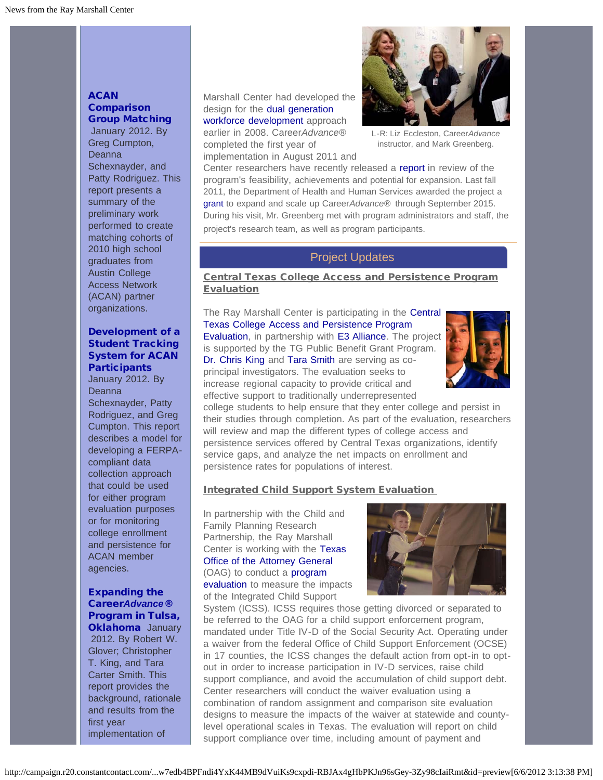# **[ACAN](http://r20.rs6.net/tn.jsp?e=001oM1SamYe2ZUQuuwZ5f5iawDuQfaIjM6dWhBdJ60JhzImN175igTJyNSIBf-4K6sgTKC9UAERvMZJP_Nt9580FUGmbXAJelW76PgSolpLaYPNNFVkrAssq90Hka44u1ht1yIeRexLBsR0Pd--LgrpAIH-Oqgw-oaU1Spj7pH1MU4BXh5XB5dMfC5LiuXpozYNtEb2JWs4fPGb8wx17DdkgQ==) [Comparison](http://r20.rs6.net/tn.jsp?e=001oM1SamYe2ZUQuuwZ5f5iawDuQfaIjM6dWhBdJ60JhzImN175igTJyNSIBf-4K6sgTKC9UAERvMZJP_Nt9580FUGmbXAJelW76PgSolpLaYPNNFVkrAssq90Hka44u1ht1yIeRexLBsR0Pd--LgrpAIH-Oqgw-oaU1Spj7pH1MU4BXh5XB5dMfC5LiuXpozYNtEb2JWs4fPGb8wx17DdkgQ==)** Group [Matching](http://r20.rs6.net/tn.jsp?e=001oM1SamYe2ZUQuuwZ5f5iawDuQfaIjM6dWhBdJ60JhzImN175igTJyNSIBf-4K6sgTKC9UAERvMZJP_Nt9580FUGmbXAJelW76PgSolpLaYPNNFVkrAssq90Hka44u1ht1yIeRexLBsR0Pd--LgrpAIH-Oqgw-oaU1Spj7pH1MU4BXh5XB5dMfC5LiuXpozYNtEb2JWs4fPGb8wx17DdkgQ==)

January 2012. By Greg Cumpton, **Deanna** Schexnayder, and Patty Rodriguez. This report presents a summary of the preliminary work performed to create matching cohorts of 2010 high school graduates from Austin College Access Network (ACAN) partner organizations.

# <span id="page-2-0"></span>[Development of a](http://r20.rs6.net/tn.jsp?e=001oM1SamYe2ZVuDirMxw1gOQpLbWvQL4n_Ka2B91m1DIQbqWDDUApcu9aqXsSQRsT9vsDElCNRyYZNvmilCcrUomJt-ZudG_e6Tb1Ab5i9VqrZw66YJgFyFjnnHQgEERHWVhSDsgDlEw7SLSjMbdUZSuFO_P9n35ME2nTnlzNbb4MfHYUotrNxudFU9JCMEzdKFSylAkGlXDL3CqIc0AS-Iw==) [Student Tracking](http://r20.rs6.net/tn.jsp?e=001oM1SamYe2ZVuDirMxw1gOQpLbWvQL4n_Ka2B91m1DIQbqWDDUApcu9aqXsSQRsT9vsDElCNRyYZNvmilCcrUomJt-ZudG_e6Tb1Ab5i9VqrZw66YJgFyFjnnHQgEERHWVhSDsgDlEw7SLSjMbdUZSuFO_P9n35ME2nTnlzNbb4MfHYUotrNxudFU9JCMEzdKFSylAkGlXDL3CqIc0AS-Iw==) [System for ACAN](http://r20.rs6.net/tn.jsp?e=001oM1SamYe2ZVuDirMxw1gOQpLbWvQL4n_Ka2B91m1DIQbqWDDUApcu9aqXsSQRsT9vsDElCNRyYZNvmilCcrUomJt-ZudG_e6Tb1Ab5i9VqrZw66YJgFyFjnnHQgEERHWVhSDsgDlEw7SLSjMbdUZSuFO_P9n35ME2nTnlzNbb4MfHYUotrNxudFU9JCMEzdKFSylAkGlXDL3CqIc0AS-Iw==) **[Participants](http://r20.rs6.net/tn.jsp?e=001oM1SamYe2ZVuDirMxw1gOQpLbWvQL4n_Ka2B91m1DIQbqWDDUApcu9aqXsSQRsT9vsDElCNRyYZNvmilCcrUomJt-ZudG_e6Tb1Ab5i9VqrZw66YJgFyFjnnHQgEERHWVhSDsgDlEw7SLSjMbdUZSuFO_P9n35ME2nTnlzNbb4MfHYUotrNxudFU9JCMEzdKFSylAkGlXDL3CqIc0AS-Iw==)**

January 2012. By **Deanna** Schexnayder, Patty Rodriguez, and Greg Cumpton. This report describes a model for developing a FERPAcompliant data collection approach that could be used for either program evaluation purposes or for monitoring college enrollment and persistence for ACAN member agencies.

### [Expanding the](http://r20.rs6.net/tn.jsp?e=001oM1SamYe2ZXgRTik0eQryaZW6OVV10yjJkQKIO8YKj86cEzS9ZSsWOePBIgs4ueqsJu8K74sYOf4bqN58LlWyJ69p_WP1VKLHrtqsbo9TXVDmsEuogCEt6qjLURmupt_guqHMDc3NeWAmb7SZ_T3Sa875TSeEjroSpVXHQ_8UEKZ4CDfhX6h00iYtDhtqsNVfYm4ujKfLGIpYaCviZIe7PP3UI1j3CPSBYATiMWN2UOuHPcJDQ4KI_VmuonpKn7SKtSFO5if26o=) [Career](http://r20.rs6.net/tn.jsp?e=001oM1SamYe2ZXgRTik0eQryaZW6OVV10yjJkQKIO8YKj86cEzS9ZSsWOePBIgs4ueqsJu8K74sYOf4bqN58LlWyJ69p_WP1VKLHrtqsbo9TXVDmsEuogCEt6qjLURmupt_guqHMDc3NeWAmb7SZ_T3Sa875TSeEjroSpVXHQ_8UEKZ4CDfhX6h00iYtDhtqsNVfYm4ujKfLGIpYaCviZIe7PP3UI1j3CPSBYATiMWN2UOuHPcJDQ4KI_VmuonpKn7SKtSFO5if26o=)*[Advance](http://r20.rs6.net/tn.jsp?e=001oM1SamYe2ZXgRTik0eQryaZW6OVV10yjJkQKIO8YKj86cEzS9ZSsWOePBIgs4ueqsJu8K74sYOf4bqN58LlWyJ69p_WP1VKLHrtqsbo9TXVDmsEuogCEt6qjLURmupt_guqHMDc3NeWAmb7SZ_T3Sa875TSeEjroSpVXHQ_8UEKZ4CDfhX6h00iYtDhtqsNVfYm4ujKfLGIpYaCviZIe7PP3UI1j3CPSBYATiMWN2UOuHPcJDQ4KI_VmuonpKn7SKtSFO5if26o=)*[®](http://r20.rs6.net/tn.jsp?e=001oM1SamYe2ZXgRTik0eQryaZW6OVV10yjJkQKIO8YKj86cEzS9ZSsWOePBIgs4ueqsJu8K74sYOf4bqN58LlWyJ69p_WP1VKLHrtqsbo9TXVDmsEuogCEt6qjLURmupt_guqHMDc3NeWAmb7SZ_T3Sa875TSeEjroSpVXHQ_8UEKZ4CDfhX6h00iYtDhtqsNVfYm4ujKfLGIpYaCviZIe7PP3UI1j3CPSBYATiMWN2UOuHPcJDQ4KI_VmuonpKn7SKtSFO5if26o=) [Program in Tulsa,](http://r20.rs6.net/tn.jsp?e=001oM1SamYe2ZXgRTik0eQryaZW6OVV10yjJkQKIO8YKj86cEzS9ZSsWOePBIgs4ueqsJu8K74sYOf4bqN58LlWyJ69p_WP1VKLHrtqsbo9TXVDmsEuogCEt6qjLURmupt_guqHMDc3NeWAmb7SZ_T3Sa875TSeEjroSpVXHQ_8UEKZ4CDfhX6h00iYtDhtqsNVfYm4ujKfLGIpYaCviZIe7PP3UI1j3CPSBYATiMWN2UOuHPcJDQ4KI_VmuonpKn7SKtSFO5if26o=) [Oklahoma](http://r20.rs6.net/tn.jsp?e=001oM1SamYe2ZXgRTik0eQryaZW6OVV10yjJkQKIO8YKj86cEzS9ZSsWOePBIgs4ueqsJu8K74sYOf4bqN58LlWyJ69p_WP1VKLHrtqsbo9TXVDmsEuogCEt6qjLURmupt_guqHMDc3NeWAmb7SZ_T3Sa875TSeEjroSpVXHQ_8UEKZ4CDfhX6h00iYtDhtqsNVfYm4ujKfLGIpYaCviZIe7PP3UI1j3CPSBYATiMWN2UOuHPcJDQ4KI_VmuonpKn7SKtSFO5if26o=) January

2012. By Robert W. Glover; Christopher T. King, and Tara Carter Smith. This report provides the background, rationale and results from the first year implementation of

Marshall Center had developed the design for the [dual generation](http://r20.rs6.net/tn.jsp?e=001oM1SamYe2ZXffMj5dP8INNXLnfjwRMZjSkQ1enlpdwflWJS9y50zA_CvC4iqbOZXy5UZHlkln19NV9Uwu_fHMpaXoh2BgzWnaS8jJVkb3MvkEzm2bKTRdD1pMVpkN36enuzA4UAtcCb6il1TxI7lC8fFWmpg0BmeknG02d22Al3_No_Mm9aGa0EyB9IKrDg03YH2FRlQD3qpoF6HjWrEJg==) [workforce development](http://r20.rs6.net/tn.jsp?e=001oM1SamYe2ZXffMj5dP8INNXLnfjwRMZjSkQ1enlpdwflWJS9y50zA_CvC4iqbOZXy5UZHlkln19NV9Uwu_fHMpaXoh2BgzWnaS8jJVkb3MvkEzm2bKTRdD1pMVpkN36enuzA4UAtcCb6il1TxI7lC8fFWmpg0BmeknG02d22Al3_No_Mm9aGa0EyB9IKrDg03YH2FRlQD3qpoF6HjWrEJg==) approach earlier in 2008. Career*Advance*® completed the first year of implementation in August 2011 and



L-R: Liz Eccleston, Career*Advance* instructor, and Mark Greenberg.

Center researchers have recently released a [report](http://r20.rs6.net/tn.jsp?e=001oM1SamYe2ZXgRTik0eQryaZW6OVV10yjJkQKIO8YKj86cEzS9ZSsWOePBIgs4ueqsJu8K74sYOf4bqN58LlWyJ69p_WP1VKLHrtqsbo9TXVDmsEuogCEt6qjLURmupt_guqHMDc3NeWAmb7SZ_T3Sa875TSeEjroSpVXHQ_8UEKZ4CDfhX6h00iYtDhtqsNVfYm4ujKfLGIpYaCviZIe7PP3UI1j3CPSBYATiMWN2UOuHPcJDQ4KI_VmuonpKn7SKtSFO5if26o=) in review of the program's feasibility, achievements and potential for expansion. Last fall 2011, the Department of Health and Human Services awarded the project a [grant](http://r20.rs6.net/tn.jsp?e=001oM1SamYe2ZV3shXKcFyTaHRBhsUUT_z65YDq1t-nryQeuTaPHQjxKvxf-jECD5_52mBgBv-3kauFEPT2uVy1MRB1l9QKA4DQGx-1xCSutXGd2tUNxO9V6fH-49XiMNyUruGllVWLTaPQy7y_VlRx3rgR8Emzqv_WBqbHsFMUUKUYENHaYVmAXgN-ZxEBCkDro7If0kIQ3EzU5zS6tDhg5X5o1yIZ9h8l) to expand and scale up Career*Advance*® through September 2015. During his visit, Mr. Greenberg met with program administrators and staff, the project's research team, as well as program participants.

# Project Updates

Central Texas College Access and Persistence Program **Evaluation** 

The Ray Marshall Center is participating in the [Central](http://r20.rs6.net/tn.jsp?e=001oM1SamYe2ZUtglSZywVcYPlIrxdaom1fXUjoymSkeTv_dmWoL_vjHzAIhjriTLX-ru-6o4DMRw85LOnuUWp2KLmpEP2ukDC33hEiZ6TVbSffp6wTddE-ICyi82Nl2dtVR4B7l40LpawHadKSYSa4RPK7wzEke6g893TyeSPq-YvPikZ3fJRhsvN9zdjXQ2JIauBH4iWYZlr7kPp7IQr-VpZdE581GQS7) [Texas College Access and Persistence Program](http://r20.rs6.net/tn.jsp?e=001oM1SamYe2ZUtglSZywVcYPlIrxdaom1fXUjoymSkeTv_dmWoL_vjHzAIhjriTLX-ru-6o4DMRw85LOnuUWp2KLmpEP2ukDC33hEiZ6TVbSffp6wTddE-ICyi82Nl2dtVR4B7l40LpawHadKSYSa4RPK7wzEke6g893TyeSPq-YvPikZ3fJRhsvN9zdjXQ2JIauBH4iWYZlr7kPp7IQr-VpZdE581GQS7) [Evaluation,](http://r20.rs6.net/tn.jsp?e=001oM1SamYe2ZUtglSZywVcYPlIrxdaom1fXUjoymSkeTv_dmWoL_vjHzAIhjriTLX-ru-6o4DMRw85LOnuUWp2KLmpEP2ukDC33hEiZ6TVbSffp6wTddE-ICyi82Nl2dtVR4B7l40LpawHadKSYSa4RPK7wzEke6g893TyeSPq-YvPikZ3fJRhsvN9zdjXQ2JIauBH4iWYZlr7kPp7IQr-VpZdE581GQS7) in partnership with [E3 Alliance.](http://r20.rs6.net/tn.jsp?e=001oM1SamYe2ZUCKqrlKEOGBSSiPcdhzNPXzHhE0jyd2zRBVDS498EZAoQwFpWG4nUfvveQVkMvAxOio8SubfThq409erdY4pjHY-XPL8e5z55obH2ucj5sKg==) The project is supported by the TG Public Benefit Grant Program. [Dr. Chris King](http://r20.rs6.net/tn.jsp?e=001oM1SamYe2ZWiCtHvgqg7hAaJ5-bcUCWhLwIMaam-Vi59qd_Buc0b-7_v2UeucmRpFrd8G21sUlrMm6qEd-eDCJiSE6uB4jw9SYbPTHJm_bYG4GNyBq2V-DGYufXV-DbgiHa_r0O-qrSEsD98Q3IQXGQ-WNTcvr_MzFhgtC2eAMmYyVZx7xs5zfNhR7VG_yhUDhmxCT4mvrqZyWAjBs_8o0diY5bNBjBW-1r1pLu3X-G2Rxb80h8ZuVDq_KLCrCMqbqGrQ8DERnw=) and [Tara Smith](http://r20.rs6.net/tn.jsp?e=001oM1SamYe2ZVFYR0AOJCGpoyL4t7MtG1c5trBJYlu_CuagEI152BzsHZ3WvkTrPM5uyjIQJgPbp1gBN2TONSeMJXWOZIW5Uq416HMShlXWI_7uI1ksVqTlkoVRGTbHnrgIh6aNAmLv9gBVwSH4Yg7N18I9CMz_Qzr49nW124_eXiDq8uW03MJTOX2_kKrpqwG305pnw62YDZtgp35tN_L_5HPZCVvWXcHuZ9EQJGGGdjP1yWK-Di2yxhlweGcu2ygLLwaNddE82E=) are serving as coprincipal investigators. The evaluation seeks to increase regional capacity to provide critical and effective support to traditionally underrepresented



college students to help ensure that they enter college and persist in their studies through completion. As part of the evaluation, researchers will review and map the different types of college access and persistence services offered by Central Texas organizations, identify service gaps, and analyze the net impacts on enrollment and persistence rates for populations of interest.

#### Integrated Child Support System Evaluation

In partnership with the Child and Family Planning Research Partnership, the Ray Marshall Center is working with the [Texas](http://r20.rs6.net/tn.jsp?e=001oM1SamYe2ZVFF0fY_fTQx-LE1AjYTav-2mXFkPHJRP-3FXrEr3qx8wvkJGKP6g1AH_b6ukUWrO5EkFSTsBMWP2JIA98aCYg4EzBMg73FKFdt_831FUFqv9CaUieyO2k211uLyKDVGB0=) [Office of the Attorney General](http://r20.rs6.net/tn.jsp?e=001oM1SamYe2ZVFF0fY_fTQx-LE1AjYTav-2mXFkPHJRP-3FXrEr3qx8wvkJGKP6g1AH_b6ukUWrO5EkFSTsBMWP2JIA98aCYg4EzBMg73FKFdt_831FUFqv9CaUieyO2k211uLyKDVGB0=) (OAG) to conduct a [program](http://r20.rs6.net/tn.jsp?e=001oM1SamYe2ZU3bEUQdnNlplsSEclarZVNSsOIA9gi6BLfCLGwyEOgoC8BbyucvKEndiOS6PZcVg9DTKDXRHiwZ7xXvTHFH28axr58iiNBCftRNt_YsxZuBk_01cO3PsXgb7Fb-NmCnnjJFJ2KLR-WntEMe50CHyUIgQJ5tFwcL3fEz21awVTpv7E6HOlIE0pIAbZw2QgM6h5u8yJL5dSFHg==) [evaluation](http://r20.rs6.net/tn.jsp?e=001oM1SamYe2ZU3bEUQdnNlplsSEclarZVNSsOIA9gi6BLfCLGwyEOgoC8BbyucvKEndiOS6PZcVg9DTKDXRHiwZ7xXvTHFH28axr58iiNBCftRNt_YsxZuBk_01cO3PsXgb7Fb-NmCnnjJFJ2KLR-WntEMe50CHyUIgQJ5tFwcL3fEz21awVTpv7E6HOlIE0pIAbZw2QgM6h5u8yJL5dSFHg==) to measure the impacts of the Integrated Child Support



System (ICSS). ICSS requires those getting divorced or separated to be referred to the OAG for a child support enforcement program, mandated under Title IV-D of the Social Security Act. Operating under a waiver from the federal Office of Child Support Enforcement (OCSE) in 17 counties, the ICSS changes the default action from opt-in to optout in order to increase participation in IV-D services, raise child support compliance, and avoid the accumulation of child support debt. Center researchers will conduct the waiver evaluation using a combination of random assignment and comparison site evaluation designs to measure the impacts of the waiver at statewide and countylevel operational scales in Texas. The evaluation will report on child support compliance over time, including amount of payment and